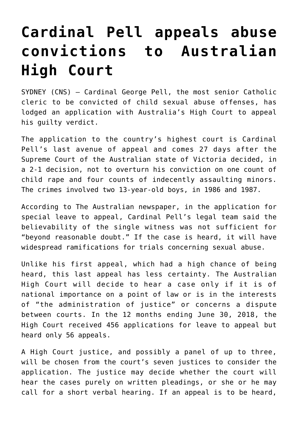## **[Cardinal Pell appeals abuse](https://www.osvnews.com/2019/09/17/cardinal-pell-appeals-abuse-convictions-to-australian-high-court/) [convictions to Australian](https://www.osvnews.com/2019/09/17/cardinal-pell-appeals-abuse-convictions-to-australian-high-court/) [High Court](https://www.osvnews.com/2019/09/17/cardinal-pell-appeals-abuse-convictions-to-australian-high-court/)**

SYDNEY (CNS) — Cardinal George Pell, the most senior Catholic cleric to be convicted of child sexual abuse offenses, has lodged an application with Australia's High Court to appeal his guilty verdict.

The application to the country's highest court is Cardinal Pell's last avenue of appeal and comes 27 days after the Supreme Court of the Australian state of Victoria decided, in a 2-1 decision, not to overturn his conviction on one count of child rape and four counts of indecently assaulting minors. The crimes involved two 13-year-old boys, in 1986 and 1987.

According to The Australian newspaper, in the application for special leave to appeal, Cardinal Pell's legal team said the believability of the single witness was not sufficient for "beyond reasonable doubt." If the case is heard, it will have widespread ramifications for trials concerning sexual abuse.

Unlike his first appeal, which had a high chance of being heard, this last appeal has less certainty. The Australian High Court will decide to hear a case only if it is of national importance on a point of law or is in the interests of "the administration of justice" or concerns a dispute between courts. In the 12 months ending June 30, 2018, the High Court received 456 applications for leave to appeal but heard only 56 appeals.

A High Court justice, and possibly a panel of up to three, will be chosen from the court's seven justices to consider the application. The justice may decide whether the court will hear the cases purely on written pleadings, or she or he may call for a short verbal hearing. If an appeal is to be heard,